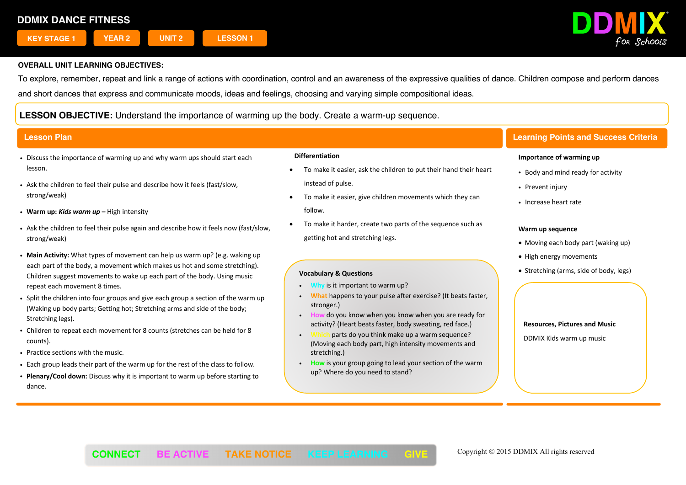

To explore, remember, repeat and link a range of actions with coordination, control and an awareness of the expressive qualities of dance. Children compose and perform dances and short dances that express and communicate moods, ideas and feelings, choosing and varying simple compositional ideas.

**LESSON OBJECTIVE:** Understand the importance of warming up the body. Create a warm-up sequence.

- Discuss the importance of warming up and why warm ups should start each lesson.
- . Ask the children to feel their pulse and describe how it feels (fast/slow, strong/weak)
- ! **Warm up:** *Kids warm up* **–** High intensity
- ! Ask the children to feel their pulse again and describe how it feels now (fast/slow, strong/weak)
- ! **Main Activity:** What types of movement can help us warm up? (e.g. waking up each part of the body, a movement which makes us hot and some stretching). Children suggest movements to wake up each part of the body. Using music repeat each movement 8 times.
- Split the children into four groups and give each group a section of the warm up (Waking up body parts; Getting hot; Stretching arms and side of the body; Stretching legs).
- ! Children to repeat each movement for 8 counts (stretches can be held for 8 counts).
- ! Practice sections with the music.
- . Each group leads their part of the warm up for the rest of the class to follow.
- ! **Plenary/Cool down:** Discuss why it is important to warm up before starting to dance.

### **Differentiation**

- To make it easier, ask the children to put their hand their heart instead of pulse.
- To make it easier, give children movements which they can follow.
- To make it harder, create two parts of the sequence such as getting hot and stretching legs.

### **Vocabulary & Questions**

- **Why** is it important to warm up?
- ! **What** happens to your pulse after exercise? (It beats faster, stronger.)
- ! **How** do you know when you know when you are ready for activity? (Heart beats faster, body sweating, red face.)
- parts do you think make up a warm sequence? (Moving each body part, high intensity movements and stretching.)
- ! **How** is your group going to lead your section of the warm up? Where do you need to stand?

# **Lesson Plan Learning Points and Success Criteria**

### **Importance of warming up**

- Body and mind ready for activity
- Prevent injury
- ! Increase heart rate

### **Warm up sequence**

- Moving each body part (waking up)
- High energy movements
- Stretching (arms, side of body, legs)

### **Resources, Pictures and Music**

DDMIX Kids warm up music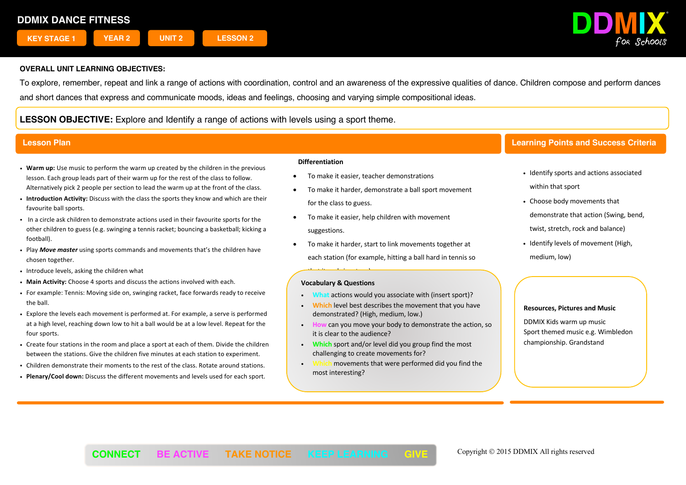

To explore, remember, repeat and link a range of actions with coordination, control and an awareness of the expressive qualities of dance. Children compose and perform dances and short dances that express and communicate moods, ideas and feelings, choosing and varying simple compositional ideas.

# **LESSON OBJECTIVE:** Explore and Identify a range of actions with levels using a sport theme.

- ! **Warm up:** Use music to perform the warm up created by the children in the previous lesson. Each group leads part of their warm up for the rest of the class to follow. Alternatively pick 2 people per section to lead the warm up at the front of the class.
- ! **Introduction Activity:** Discuss with the class the sports they know and which are their favourite ball sports.
- ! In a circle ask children to demonstrate actions used in their favourite sports for the other children to guess (e.g. swinging a tennis racket; bouncing a basketball; kicking a football).
- ! Play *Move master* using sports commands and movements that's the children have chosen together.
- . Introduce levels, asking the children what
- ! **Main Activity:** Choose 4 sports and discuss the actions involved with each.
- ! For example: Tennis: Moving side on, swinging racket, face forwards ready to receive the ball.
- ! Explore the levels each movement is performed at. For example, a serve is performed at a high level, reaching down low to hit a ball would be at a low level. Repeat for the four sports.
- ! Create four stations in the room and place a sport at each of them. Divide the children between the stations. Give the children five minutes at each station to experiment.
- ! Children demonstrate their moments to the rest of the class. Rotate around stations.
- ! **Plenary/Cool down:** Discuss the different movements and levels used for each sport.

### **Differentiation**

- To make it easier, teacher demonstrations
- To make it harder, demonstrate a ball sport movement for the class to guess.
- To make it easier, help children with movement suggestions.
- To make it harder, start to link movements together at each station (for example, hitting a ball hard in tennis so

# that it ends in a turn). **Vocabulary & Questions**

- ! **What** actions would you associate with (insert sport)?
- ! **Which** level best describes the movement that you have demonstrated? (High, medium, low.)
- can you move your body to demonstrate the action, so it is clear to the audience?
- ! **Which** sport and/or level did you group find the most challenging to create movements for?
- movements that were performed did you find the most interesting?

# **Lesson Plan Learning Points and Success Criteria**

- Identify sports and actions associated within that sport
- Choose body movements that demonstrate that action (Swing, bend, twist, stretch, rock and balance)
- . Identify levels of movement (High, medium, low)

# **Resources, Pictures and Music**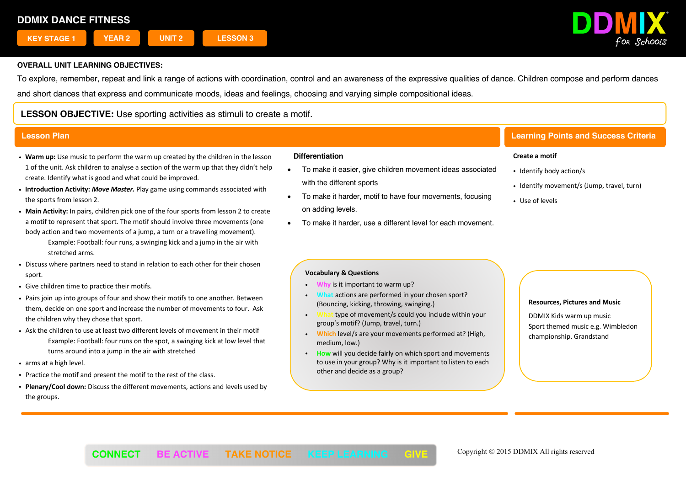

To explore, remember, repeat and link a range of actions with coordination, control and an awareness of the expressive qualities of dance. Children compose and perform dances and short dances that express and communicate moods, ideas and feelings, choosing and varying simple compositional ideas.

# **LESSON OBJECTIVE:** Use sporting activities as stimuli to create a motif.

- ! **Warm up:** Use music to perform the warm up created by the children in the lesson 1 of the unit. Ask children to analyse a section of the warm up that they didn't help create. Identify what is good and what could be improved.
- ! **Introduction Activity:** *Move Master.* Play game using commands associated with the sports from lesson 2.
- ! **Main Activity:** In pairs, children pick one of the four sports from lesson 2 to create a motif to represent that sport. The motif should involve three movements (one body action and two movements of a jump, a turn or a travelling movement).
	- Example: Football: four runs, a swinging kick and a jump in the air with stretched arms.
- ! Discuss where partners need to stand in relation to each other for their chosen sport.
- . Give children time to practice their motifs.
- ! Pairs join up into groups of four and show their motifs to one another. Between them, decide on one sport and increase the number of movements to four. Ask the children why they chose that sport.
- ! Ask the children to use at least two different levels of movement in their motif Example: Football: four runs on the spot, a swinging kick at low level that turns around into a jump in the air with stretched
- arms at a high level.
- . Practice the motif and present the motif to the rest of the class.
- ! **Plenary/Cool down:** Discuss the different movements, actions and levels used by the groups.

# **Differentiation**

- To make it easier, give children movement ideas associated with the different sports
- To make it harder, motif to have four movements, focusing on adding levels.
- To make it harder, use a different level for each movement.

# **Lesson Plan Learning Points and Success Criteria**

## **Create a motif**

- Identify body action/s
- . Identify movement/s (Jump, travel, turn)
- . Use of levels

# **Vocabulary & Questions**

- ! **Why** is it important to warm up?
- ! **What** actions are performed in your chosen sport? (Bouncing, kicking, throwing, swinging.)
- ! **What** type of movement/s could you include within your group's motif? (Jump, travel, turn.)
- ! **Which** level/s are your movements performed at? (High, medium, low.)
- ! **How** will you decide fairly on which sport and movements to use in your group? Why is it important to listen to each other and decide as a group?

### **Resources, Pictures and Music**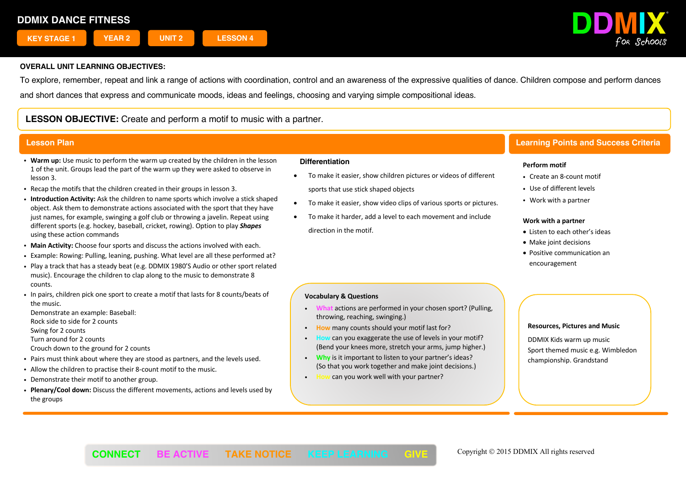

To explore, remember, repeat and link a range of actions with coordination, control and an awareness of the expressive qualities of dance. Children compose and perform dances and short dances that express and communicate moods, ideas and feelings, choosing and varying simple compositional ideas.

# **LESSON OBJECTIVE:** Create and perform a motif to music with a partner.

- ! **Warm up:** Use music to perform the warm up created by the children in the lesson 1 of the unit. Groups lead the part of the warm up they were asked to observe in lesson 3.
- ! Recap the motifs that the children created in their groups in lesson 3.
- ! **Introduction Activity:** Ask the children to name sports which involve a stick shaped object. Ask them to demonstrate actions associated with the sport that they have just names, for example, swinging a golf club or throwing a javelin. Repeat using different sports (e.g. hockey, baseball, cricket, rowing). Option to play *Shapes* using these action commands
- ! **Main Activity:** Choose four sports and discuss the actions involved with each.
- ! Example: Rowing: Pulling, leaning, pushing. What level are all these performed at?
- ! Play a track that has a steady beat (e.g. DDMIX 1980'S Audio or other sport related music). Encourage the children to clap along to the music to demonstrate 8 counts.
- ! In pairs, children pick one sport to create a motif that lasts for 8 counts/beats of the music.

Demonstrate an example: Baseball: Rock side to side for 2 counts Swing for 2 counts Turn around for 2 counts

- Crouch down to the ground for 2 counts
- ! Pairs must think about where they are stood as partners, and the levels used.
- ! Allow the children to practise their 8-count motif to the music.
- Demonstrate their motif to another group.
- ! **Plenary/Cool down:** Discuss the different movements, actions and levels used by the groups

### **Differentiation**

- To make it easier, show children pictures or videos of different sports that use stick shaped objects
- To make it easier, show video clips of various sports or pictures.
- To make it harder, add a level to each movement and include direction in the motif.

# **Lesson Plan Learning Points and Success Criteria**

## **Perform motif**

- Create an 8-count motif
- . Use of different levels
- Work with a partner

### **Work with a partner**

- Listen to each other's ideas
- Make joint decisions
- Positive communication an encouragement

# **Vocabulary & Questions**

- ! **What** actions are performed in your chosen sport? (Pulling, throwing, reaching, swinging.)
- **How** many counts should your motif last for?
- ! **How** can you exaggerate the use of levels in your motif? (Bend your knees more, stretch your arms, jump higher.)
- ! **Why** is it important to listen to your partner's ideas? (So that you work together and make joint decisions.)
- **Can you work well with your partner?**

### **Resources, Pictures and Music**

DDMIX Kids warm up music Sport themed music e.g. Wimbledon championship. Grandstand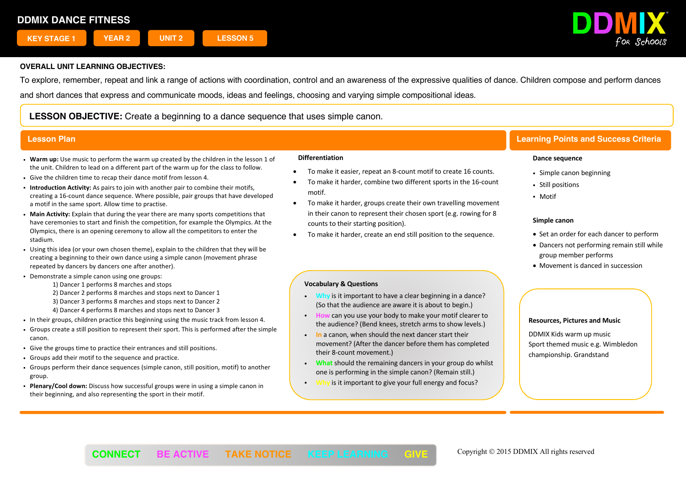

To explore, remember, repeat and link a range of actions with coordination, control and an awareness of the expressive qualities of dance. Children compose and perform dances and short dances that express and communicate moods, ideas and feelings, choosing and varying simple compositional ideas.

**LESSON OBJECTIVE:** Create a beginning to a dance sequence that uses simple canon.

- ! **Warm up:** Use music to perform the warm up created by the children in the lesson 1 of the unit. Children to lead on a different part of the warm up for the class to follow.
- ! Give the children time to recap their dance motif from lesson 4.
- ! **Introduction Activity:** As pairs to join with another pair to combine their motifs, creating a 16-count dance sequence. Where possible, pair groups that have developed a motif in the same sport. Allow time to practise.
- ! **Main Activity:** Explain that during the year there are many sports competitions that have ceremonies to start and finish the competition, for example the Olympics. At the Olympics, there is an opening ceremony to allow all the competitors to enter the stadium.
- ! Using this idea (or your own chosen theme), explain to the children that they will be creating a beginning to their own dance using a simple canon (movement phrase repeated by dancers by dancers one after another).
- . Demonstrate a simple canon using one groups:
	- 1) Dancer 1 performs 8 marches and stops
	- 2) Dancer 2 performs 8 marches and stops next to Dancer 1
	- 3) Dancer 3 performs 8 marches and stops next to Dancer 2
	- 4) Dancer 4 performs 8 marches and stops next to Dancer 3
- ! In their groups, children practice this beginning using the music track from lesson 4.
- ! Groups create a still position to represent their sport. This is performed after the simple canon.
- ! Give the groups time to practice their entrances and still positions.
- ! Groups add their motif to the sequence and practice.
- ! Groups perform their dance sequences (simple canon, still position, motif) to another group.
- ! **Plenary/Cool down:** Discuss how successful groups were in using a simple canon in their beginning, and also representing the sport in their motif.

### **Differentiation**

- To make it easier, repeat an 8-count motif to create 16 counts.
- To make it harder, combine two different sports in the 16-count motif.
- To make it harder, groups create their own travelling movement in their canon to represent their chosen sport (e.g. rowing for 8 counts to their starting position).
- To make it harder, create an end still position to the sequence.

## **Vocabulary & Questions**

- ! **Why** is it important to have a clear beginning in a dance? (So that the audience are aware it is about to begin.)
- ! **How** can you use your body to make your motif clearer to the audience? (Bend knees, stretch arms to show levels.)
- ! **In** a canon, when should the next dancer start their movement? (After the dancer before them has completed their 8-count movement.)
- ! **What** should the remaining dancers in your group do whilst one is performing in the simple canon? (Remain still.)
- ! **Why** is it important to give your full energy and focus?

# **Lesson Plan Learning Points and Success Criteria**

### **Dance sequence**

- Simple canon beginning
- Still positions
- Motif

### **Simple canon**

- Set an order for each dancer to perform
- Dancers not performing remain still while group member performs
- Movement is danced in succession

### **Resources, Pictures and Music**